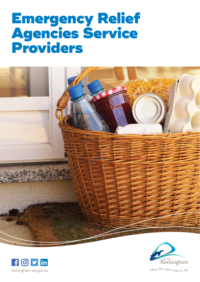## Emergency Relief Agencies Service Providers







where the coast comes to life